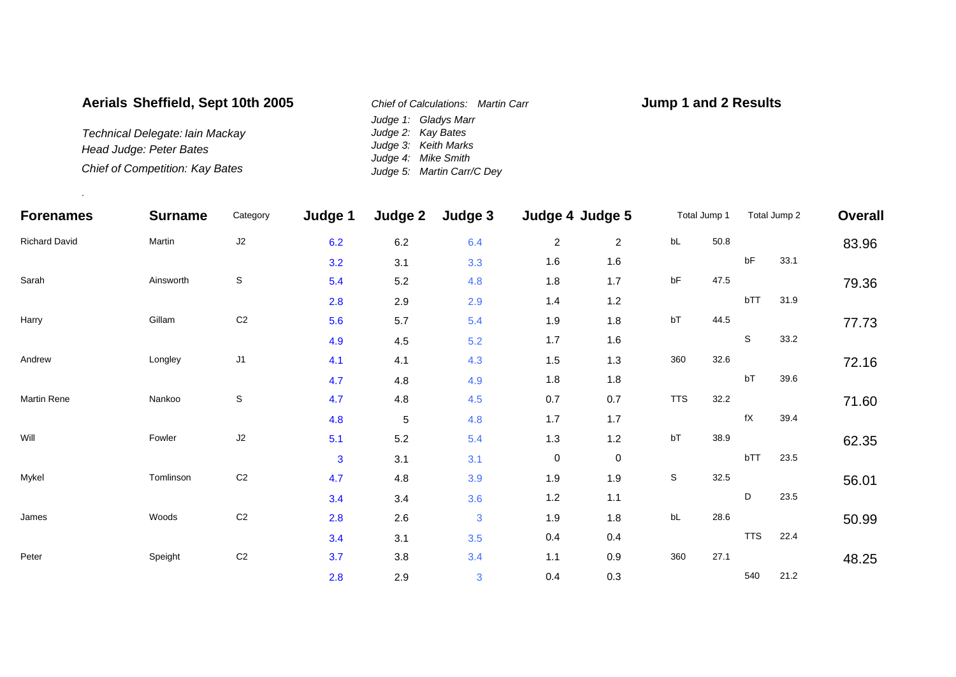## **Aerials Sheffield, Sept 10th 2005**

*Technical Delegate: Iain Mackay Head Judge: Peter Bates Chief of Competition: Kay Bates*

.

*Judge 1: Gladys Marr Judge 2: Kay Bates Judge 3: Keith Marks Judge 4: Mike Smith Judge 5: Martin Carr/C Dey Chief of Calculations: Martin Carr*

## **Jump 1 and 2 Results**

| <b>Forenames</b><br><b>Richard David</b> | <b>Surname</b><br>Martin | Category<br>J2 | Judge 1<br>6.2 | Judge 2<br>$6.2\,$ | Judge 3<br>6.4 | Judge 4 Judge 5 |                | Total Jump 1 |          | Total Jump 2           |      | Overall |
|------------------------------------------|--------------------------|----------------|----------------|--------------------|----------------|-----------------|----------------|--------------|----------|------------------------|------|---------|
|                                          |                          |                |                |                    |                | $\overline{c}$  | $\overline{2}$ | bL           | $50.8\,$ |                        |      | 83.96   |
|                                          |                          |                | 3.2            | 3.1                | 3.3            | 1.6             | 1.6            |              |          | $\sf bF$               | 33.1 |         |
| Sarah                                    | Ainsworth                | $\mathbb S$    | 5.4            | 5.2                | 4.8            | 1.8             | 1.7            | bF           | 47.5     |                        |      | 79.36   |
|                                          |                          |                | 2.8            | 2.9                | 2.9            | $1.4$           | 1.2            |              |          | bTT                    | 31.9 |         |
| Harry                                    | Gillam                   | C <sub>2</sub> | 5.6            | $5.7\,$            | 5.4            | 1.9             | 1.8            | bT           | 44.5     |                        |      | 77.73   |
|                                          |                          |                | 4.9            | 4.5                | 5.2            | 1.7             | 1.6            |              |          | S                      | 33.2 |         |
| Andrew                                   | Longley                  | J <sub>1</sub> | 4.1            | 4.1                | 4.3            | 1.5             | 1.3            | 360          | 32.6     |                        |      | 72.16   |
|                                          |                          |                | 4.7            | 4.8                | 4.9            | 1.8             | 1.8            |              |          | bT                     | 39.6 |         |
| Martin Rene                              | Nankoo                   | S              | 4.7            | $4.8\,$            | 4.5            | 0.7             | 0.7            | <b>TTS</b>   | 32.2     |                        |      | 71.60   |
|                                          |                          |                | 4.8            | $\,$ 5 $\,$        | 4.8            | 1.7             | 1.7            |              |          | $\mathsf{f}\mathsf{X}$ | 39.4 |         |
| Will                                     | Fowler                   | $\sf J2$       | 5.1            | $5.2\,$            | 5.4            | 1.3             | 1.2            | bT           | 38.9     |                        |      | 62.35   |
|                                          |                          |                | 3              | 3.1                | 3.1            | $\pmb{0}$       | $\mathbf 0$    |              |          | bTT                    | 23.5 |         |
| Mykel                                    | Tomlinson                | C <sub>2</sub> | 4.7            | 4.8                | 3.9            | 1.9             | 1.9            | $\mathsf S$  | 32.5     |                        |      | 56.01   |
|                                          |                          |                | 3.4            | 3.4                | 3.6            | 1.2             | 1.1            |              |          | D                      | 23.5 |         |
| James                                    | Woods                    | $\mbox{C2}$    | 2.8            | 2.6                | $\mathbf{3}$   | 1.9             | 1.8            | bL           | 28.6     |                        |      | 50.99   |
|                                          |                          |                | 3.4            | 3.1                | 3.5            | 0.4             | 0.4            |              |          | <b>TTS</b>             | 22.4 |         |
| Peter                                    | Speight                  | $\mbox{C2}$    | 3.7            | 3.8                | 3.4            | 1.1             | 0.9            | 360          | 27.1     |                        |      | 48.25   |
|                                          |                          |                | 2.8            | 2.9                | 3              | 0.4             | 0.3            |              |          | 540                    | 21.2 |         |